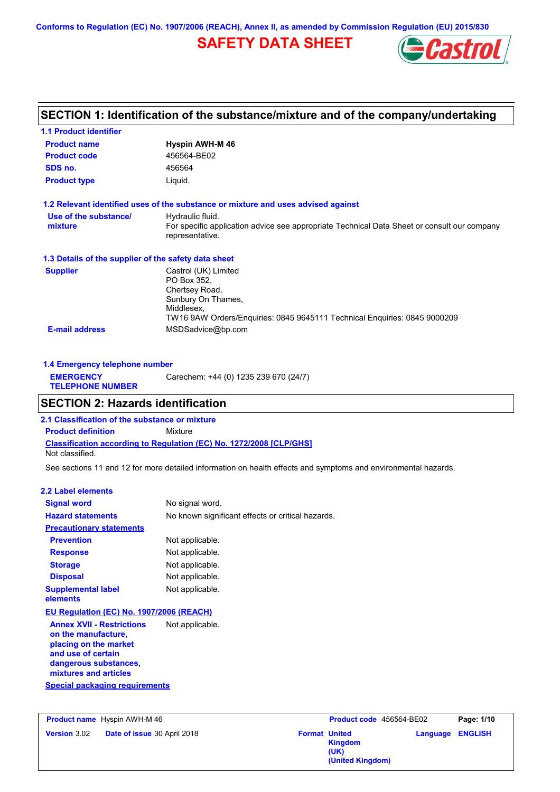**Conforms to Regulation (EC) No. 1907/2006 (REACH), Annex II, as amended by Commission Regulation (EU) 2015/830**

# **SAFETY DATA SHEET**



# **SECTION 1: Identification of the substance/mixture and of the company/undertaking**

| <b>1.1 Product identifier</b>                        |                                                                                                                                                                        |
|------------------------------------------------------|------------------------------------------------------------------------------------------------------------------------------------------------------------------------|
| <b>Product name</b>                                  | Hyspin AWH-M 46                                                                                                                                                        |
| <b>Product code</b>                                  | 456564-BE02                                                                                                                                                            |
| SDS no.                                              | 456564                                                                                                                                                                 |
| <b>Product type</b>                                  | Liquid.                                                                                                                                                                |
|                                                      | 1.2 Relevant identified uses of the substance or mixture and uses advised against                                                                                      |
| Use of the substance/<br>mixture                     | Hydraulic fluid.<br>For specific application advice see appropriate Technical Data Sheet or consult our company<br>representative.                                     |
| 1.3 Details of the supplier of the safety data sheet |                                                                                                                                                                        |
| <b>Supplier</b>                                      | Castrol (UK) Limited<br>PO Box 352.<br>Chertsey Road,<br>Sunbury On Thames,<br>Middlesex,<br>TW16 9AW Orders/Enguiries: 0845 9645111 Technical Enguiries: 0845 9000209 |
| <b>E-mail address</b>                                | MSDSadvice@bp.com                                                                                                                                                      |

| 1.4 Emergency telephone number              |                                       |  |  |
|---------------------------------------------|---------------------------------------|--|--|
| <b>EMERGENCY</b><br><b>TELEPHONE NUMBER</b> | Carechem: +44 (0) 1235 239 670 (24/7) |  |  |

# **SECTION 2: Hazards identification**

**Classification according to Regulation (EC) No. 1272/2008 [CLP/GHS] 2.1 Classification of the substance or mixture Product definition** Mixture Not classified.

See sections 11 and 12 for more detailed information on health effects and symptoms and environmental hazards.

### **2.2 Label elements**

| <b>Hazard statements</b>                                                                                                                                                                          | No known significant effects or critical hazards. |
|---------------------------------------------------------------------------------------------------------------------------------------------------------------------------------------------------|---------------------------------------------------|
| <b>Precautionary statements</b>                                                                                                                                                                   |                                                   |
| <b>Prevention</b>                                                                                                                                                                                 | Not applicable.                                   |
| <b>Response</b>                                                                                                                                                                                   | Not applicable.                                   |
| <b>Storage</b>                                                                                                                                                                                    | Not applicable.                                   |
| <b>Disposal</b>                                                                                                                                                                                   | Not applicable.                                   |
| <b>Supplemental label</b><br>elements                                                                                                                                                             | Not applicable.                                   |
| EU Regulation (EC) No. 1907/2006 (REACH)                                                                                                                                                          |                                                   |
| <b>Annex XVII - Restrictions</b><br>on the manufacture,<br>placing on the market<br>and use of certain<br>dangerous substances,<br>mixtures and articles<br><b>Special packaging requirements</b> | Not applicable.                                   |

**Product name** Hyspin AWH-M 46 **Version** 3.02 **Product code** 456564-BE02 **Page: 1/10 Date of issue** 30 April 2018 **Format United Format United Kingdom (UK) Language ENGLISH (United Kingdom)**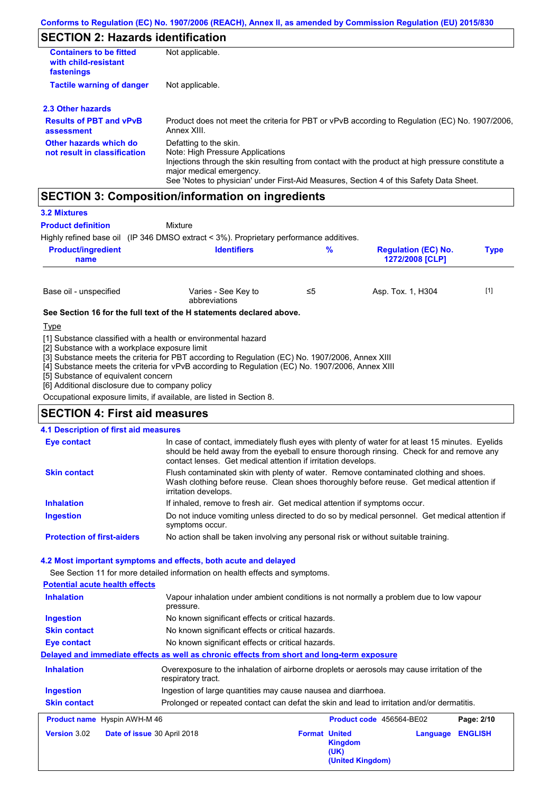## **SECTION 2: Hazards identification**

| <b>Containers to be fitted</b><br>with child-resistant<br>fastenings | Not applicable.                                                                                                                                                                                                                                                                        |
|----------------------------------------------------------------------|----------------------------------------------------------------------------------------------------------------------------------------------------------------------------------------------------------------------------------------------------------------------------------------|
| <b>Tactile warning of danger</b>                                     | Not applicable.                                                                                                                                                                                                                                                                        |
| 2.3 Other hazards                                                    |                                                                                                                                                                                                                                                                                        |
| <b>Results of PBT and vPvB</b><br>assessment                         | Product does not meet the criteria for PBT or vPvB according to Regulation (EC) No. 1907/2006,<br>Annex XIII.                                                                                                                                                                          |
| Other hazards which do<br>not result in classification               | Defatting to the skin.<br>Note: High Pressure Applications<br>Injections through the skin resulting from contact with the product at high pressure constitute a<br>major medical emergency.<br>See 'Notes to physician' under First-Aid Measures, Section 4 of this Safety Data Sheet. |

## **SECTION 3: Composition/information on ingredients**

Mixture

## **3.2 Mixtures**

**Product definition**

Highly refined base oil (IP 346 DMSO extract < 3%). Proprietary performance additives.

| <b>Product/ingredient</b><br>name | <b>Identifiers</b>                   | %    | <b>Regulation (EC) No.</b><br><b>1272/2008 [CLP]</b> | <b>Type</b> |
|-----------------------------------|--------------------------------------|------|------------------------------------------------------|-------------|
| Base oil - unspecified            | Varies - See Key to<br>abbreviations | ו≥ ≤ | Asp. Tox. 1, H304                                    | $[1]$       |

#### **See Section 16 for the full text of the H statements declared above.**

Type

[1] Substance classified with a health or environmental hazard

[2] Substance with a workplace exposure limit

[3] Substance meets the criteria for PBT according to Regulation (EC) No. 1907/2006, Annex XIII

[4] Substance meets the criteria for vPvB according to Regulation (EC) No. 1907/2006, Annex XIII

[5] Substance of equivalent concern

[6] Additional disclosure due to company policy

Occupational exposure limits, if available, are listed in Section 8.

## **SECTION 4: First aid measures**

#### Do not induce vomiting unless directed to do so by medical personnel. Get medical attention if symptoms occur. In case of contact, immediately flush eyes with plenty of water for at least 15 minutes. Eyelids should be held away from the eyeball to ensure thorough rinsing. Check for and remove any contact lenses. Get medical attention if irritation develops. **4.1 Description of first aid measures** If inhaled, remove to fresh air. Get medical attention if symptoms occur. **Ingestion Inhalation Eye contact Protection of first-aiders** No action shall be taken involving any personal risk or without suitable training. **Skin contact** Flush contaminated skin with plenty of water. Remove contaminated clothing and shoes. Wash clothing before reuse. Clean shoes thoroughly before reuse. Get medical attention if irritation develops.

## **4.2 Most important symptoms and effects, both acute and delayed**

See Section 11 for more detailed information on health effects and symptoms. **Potential acute health effects Inhalation** Vapour inhalation under ambient conditions is not normally a problem due to low vapour pressure. **Ingestion** No known significant effects or critical hazards. **Skin contact** No known significant effects or critical hazards. **Eye contact** No known significant effects or critical hazards. **Delayed and immediate effects as well as chronic effects from short and long-term exposure Inhalation Ingestion Skin contact** Overexposure to the inhalation of airborne droplets or aerosols may cause irritation of the respiratory tract. Ingestion of large quantities may cause nausea and diarrhoea. Prolonged or repeated contact can defat the skin and lead to irritation and/or dermatitis. **Product 2014/11/14/20** Hyspin AWH-M 46 **Product code** 456564-BE02 **Page: 2/10**

|                     | <b>Product Hallie</b> Hyspir AWH-M 40 | <b>Product code</b> 430304-BE02                                    |                  | Paue. 21 IV |
|---------------------|---------------------------------------|--------------------------------------------------------------------|------------------|-------------|
| <b>Version 3.02</b> | Date of issue 30 April 2018           | <b>Format United</b><br><b>Kingdom</b><br>(UK)<br>(United Kingdom) | Language ENGLISH |             |
|                     |                                       |                                                                    |                  |             |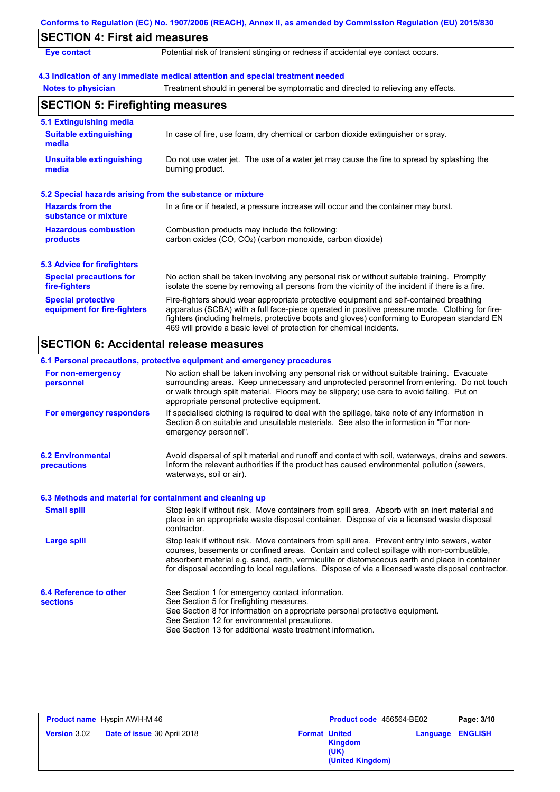|                                                           | Conforms to Regulation (EC) No. 1907/2006 (REACH), Annex II, as amended by Commission Regulation (EU) 2015/830                                                                                                                                                                                                                                                    |
|-----------------------------------------------------------|-------------------------------------------------------------------------------------------------------------------------------------------------------------------------------------------------------------------------------------------------------------------------------------------------------------------------------------------------------------------|
| <b>SECTION 4: First aid measures</b>                      |                                                                                                                                                                                                                                                                                                                                                                   |
| <b>Eye contact</b>                                        | Potential risk of transient stinging or redness if accidental eye contact occurs.                                                                                                                                                                                                                                                                                 |
|                                                           | 4.3 Indication of any immediate medical attention and special treatment needed                                                                                                                                                                                                                                                                                    |
| <b>Notes to physician</b>                                 | Treatment should in general be symptomatic and directed to relieving any effects.                                                                                                                                                                                                                                                                                 |
| <b>SECTION 5: Firefighting measures</b>                   |                                                                                                                                                                                                                                                                                                                                                                   |
| 5.1 Extinguishing media                                   |                                                                                                                                                                                                                                                                                                                                                                   |
| <b>Suitable extinguishing</b><br>media                    | In case of fire, use foam, dry chemical or carbon dioxide extinguisher or spray.                                                                                                                                                                                                                                                                                  |
| <b>Unsuitable extinguishing</b><br>media                  | Do not use water jet. The use of a water jet may cause the fire to spread by splashing the<br>burning product.                                                                                                                                                                                                                                                    |
| 5.2 Special hazards arising from the substance or mixture |                                                                                                                                                                                                                                                                                                                                                                   |
| <b>Hazards from the</b><br>substance or mixture           | In a fire or if heated, a pressure increase will occur and the container may burst.                                                                                                                                                                                                                                                                               |
| <b>Hazardous combustion</b><br>products                   | Combustion products may include the following:<br>carbon oxides (CO, CO <sub>2</sub> ) (carbon monoxide, carbon dioxide)                                                                                                                                                                                                                                          |
| <b>5.3 Advice for firefighters</b>                        |                                                                                                                                                                                                                                                                                                                                                                   |
| <b>Special precautions for</b><br>fire-fighters           | No action shall be taken involving any personal risk or without suitable training. Promptly<br>isolate the scene by removing all persons from the vicinity of the incident if there is a fire.                                                                                                                                                                    |
| <b>Special protective</b><br>equipment for fire-fighters  | Fire-fighters should wear appropriate protective equipment and self-contained breathing<br>apparatus (SCBA) with a full face-piece operated in positive pressure mode. Clothing for fire-<br>fighters (including helmets, protective boots and gloves) conforming to European standard EN<br>469 will provide a basic level of protection for chemical incidents. |
| <b>SECTION 6: Accidental release measures</b>             |                                                                                                                                                                                                                                                                                                                                                                   |
|                                                           | 6.1 Personal precautions, protective equipment and emergency procedures                                                                                                                                                                                                                                                                                           |
| For non-emergency<br>personnel                            | No action shall be taken involving any personal risk or without suitable training. Evacuate<br>surrounding areas. Keep unnecessary and unprotected personnel from entering. Do not touch<br>or walk through spilt material. Floors may be slippery; use care to avoid falling. Put on<br>appropriate personal protective equipment.                               |
| For emergency responders                                  | If specialised clothing is required to deal with the spillage, take note of any information in                                                                                                                                                                                                                                                                    |

**6.2 Environmental precautions** Avoid dispersal of spilt material and runoff and contact with soil, waterways, drains and sewers. Inform the relevant authorities if the product has caused environmental pollution (sewers, emergency personnel".

Section 8 on suitable and unsuitable materials. See also the information in "For non-

## **6.3 Methods and material for containment and cleaning up**

waterways, soil or air).

| <b>Small spill</b>                        | Stop leak if without risk. Move containers from spill area. Absorb with an inert material and<br>place in an appropriate waste disposal container. Dispose of via a licensed waste disposal<br>contractor.                                                                                                                                                                                     |
|-------------------------------------------|------------------------------------------------------------------------------------------------------------------------------------------------------------------------------------------------------------------------------------------------------------------------------------------------------------------------------------------------------------------------------------------------|
| Large spill                               | Stop leak if without risk. Move containers from spill area. Prevent entry into sewers, water<br>courses, basements or confined areas. Contain and collect spillage with non-combustible,<br>absorbent material e.g. sand, earth, vermiculite or diatomaceous earth and place in container<br>for disposal according to local regulations. Dispose of via a licensed waste disposal contractor. |
| 6.4 Reference to other<br><b>sections</b> | See Section 1 for emergency contact information.<br>See Section 5 for firefighting measures.<br>See Section 8 for information on appropriate personal protective equipment.<br>See Section 12 for environmental precautions.<br>See Section 13 for additional waste treatment information.                                                                                                     |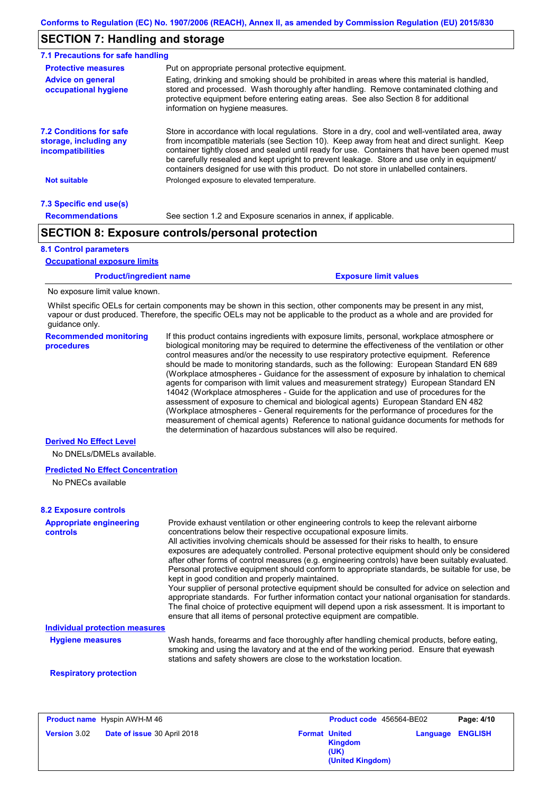# **SECTION 7: Handling and storage**

| 7.1 Precautions for safe handling                                                    |                                                                                                                                                                                                                                                                                                                                                                                                                                                                                          |
|--------------------------------------------------------------------------------------|------------------------------------------------------------------------------------------------------------------------------------------------------------------------------------------------------------------------------------------------------------------------------------------------------------------------------------------------------------------------------------------------------------------------------------------------------------------------------------------|
| <b>Protective measures</b>                                                           | Put on appropriate personal protective equipment.                                                                                                                                                                                                                                                                                                                                                                                                                                        |
| <b>Advice on general</b><br>occupational hygiene                                     | Eating, drinking and smoking should be prohibited in areas where this material is handled.<br>stored and processed. Wash thoroughly after handling. Remove contaminated clothing and<br>protective equipment before entering eating areas. See also Section 8 for additional<br>information on hygiene measures.                                                                                                                                                                         |
| <b>7.2 Conditions for safe</b><br>storage, including any<br><i>incompatibilities</i> | Store in accordance with local regulations. Store in a dry, cool and well-ventilated area, away<br>from incompatible materials (see Section 10). Keep away from heat and direct sunlight. Keep<br>container tightly closed and sealed until ready for use. Containers that have been opened must<br>be carefully resealed and kept upright to prevent leakage. Store and use only in equipment/<br>containers designed for use with this product. Do not store in unlabelled containers. |
| <b>Not suitable</b>                                                                  | Prolonged exposure to elevated temperature.                                                                                                                                                                                                                                                                                                                                                                                                                                              |
| 7.3 Specific end use(s)                                                              |                                                                                                                                                                                                                                                                                                                                                                                                                                                                                          |
| <b>Recommendations</b>                                                               | See section 1.2 and Exposure scenarios in annex, if applicable.                                                                                                                                                                                                                                                                                                                                                                                                                          |
|                                                                                      | <b>SECTION 8: Exposure controls/personal protection</b>                                                                                                                                                                                                                                                                                                                                                                                                                                  |

#### **8.1 Control parameters**

**Occupational exposure limits**

#### **Product/ingredient name Exposure limit values Recommended monitoring procedures** If this product contains ingredients with exposure limits, personal, workplace atmosphere or biological monitoring may be required to determine the effectiveness of the ventilation or other control measures and/or the necessity to use respiratory protective equipment. Reference should be made to monitoring standards, such as the following: European Standard EN 689 (Workplace atmospheres - Guidance for the assessment of exposure by inhalation to chemical agents for comparison with limit values and measurement strategy) European Standard EN 14042 (Workplace atmospheres - Guide for the application and use of procedures for the assessment of exposure to chemical and biological agents) European Standard EN 482 Whilst specific OELs for certain components may be shown in this section, other components may be present in any mist, vapour or dust produced. Therefore, the specific OELs may not be applicable to the product as a whole and are provided for guidance only. No exposure limit value known.

the determination of hazardous substances will also be required.

(Workplace atmospheres - General requirements for the performance of procedures for the measurement of chemical agents) Reference to national guidance documents for methods for

#### **Derived No Effect Level**

No DNELs/DMELs available.

#### **Predicted No Effect Concentration**

No PNECs available

#### **8.2 Exposure controls**

| <b>Appropriate engineering</b><br>controls | Provide exhaust ventilation or other engineering controls to keep the relevant airborne<br>concentrations below their respective occupational exposure limits.<br>All activities involving chemicals should be assessed for their risks to health, to ensure<br>exposures are adequately controlled. Personal protective equipment should only be considered<br>after other forms of control measures (e.g. engineering controls) have been suitably evaluated.<br>Personal protective equipment should conform to appropriate standards, be suitable for use, be<br>kept in good condition and properly maintained.<br>Your supplier of personal protective equipment should be consulted for advice on selection and<br>appropriate standards. For further information contact your national organisation for standards.<br>The final choice of protective equipment will depend upon a risk assessment. It is important to<br>ensure that all items of personal protective equipment are compatible. |
|--------------------------------------------|---------------------------------------------------------------------------------------------------------------------------------------------------------------------------------------------------------------------------------------------------------------------------------------------------------------------------------------------------------------------------------------------------------------------------------------------------------------------------------------------------------------------------------------------------------------------------------------------------------------------------------------------------------------------------------------------------------------------------------------------------------------------------------------------------------------------------------------------------------------------------------------------------------------------------------------------------------------------------------------------------------|
| Individual protection measures             |                                                                                                                                                                                                                                                                                                                                                                                                                                                                                                                                                                                                                                                                                                                                                                                                                                                                                                                                                                                                         |
| <b>Hygiene measures</b>                    | Wash hands, forearms and face thoroughly after handling chemical products, before eating,<br>smoking and using the lavatory and at the end of the working period. Ensure that eyewash<br>stations and safety showers are close to the workstation location.                                                                                                                                                                                                                                                                                                                                                                                                                                                                                                                                                                                                                                                                                                                                             |
| <b>Respiratory protection</b>              |                                                                                                                                                                                                                                                                                                                                                                                                                                                                                                                                                                                                                                                                                                                                                                                                                                                                                                                                                                                                         |

|                     | <b>Product name</b> Hyspin AWH-M 46 | Product code 456564-BE02                                           |                         | Page: 4/10 |
|---------------------|-------------------------------------|--------------------------------------------------------------------|-------------------------|------------|
| <b>Version 3.02</b> | <b>Date of issue 30 April 2018</b>  | <b>Format United</b><br><b>Kingdom</b><br>(UK)<br>(United Kingdom) | <b>Language ENGLISH</b> |            |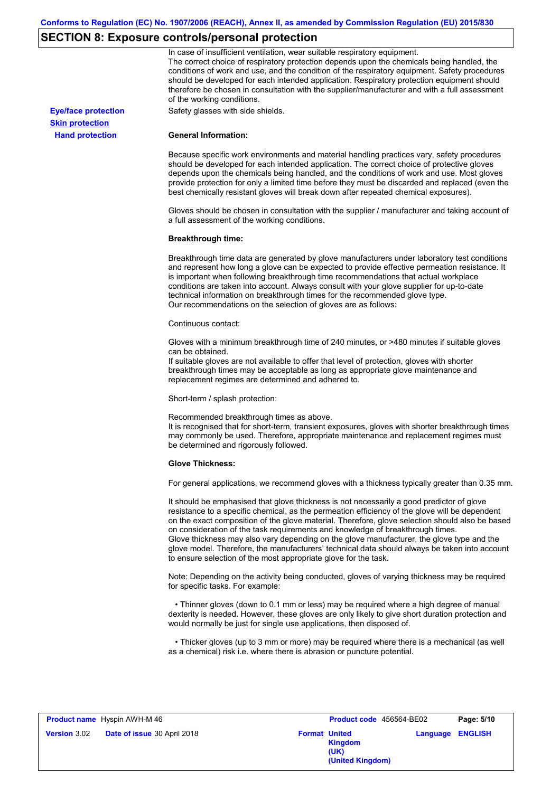## **SECTION 8: Exposure controls/personal protection**

**Hand protection**

**Skin protection**

In case of insufficient ventilation, wear suitable respiratory equipment. The correct choice of respiratory protection depends upon the chemicals being handled, the conditions of work and use, and the condition of the respiratory equipment. Safety procedures should be developed for each intended application. Respiratory protection equipment should therefore be chosen in consultation with the supplier/manufacturer and with a full assessment of the working conditions.

**Eye/face protection** Safety glasses with side shields.

#### **General Information:**

Because specific work environments and material handling practices vary, safety procedures should be developed for each intended application. The correct choice of protective gloves depends upon the chemicals being handled, and the conditions of work and use. Most gloves provide protection for only a limited time before they must be discarded and replaced (even the best chemically resistant gloves will break down after repeated chemical exposures).

Gloves should be chosen in consultation with the supplier / manufacturer and taking account of a full assessment of the working conditions.

#### **Breakthrough time:**

Breakthrough time data are generated by glove manufacturers under laboratory test conditions and represent how long a glove can be expected to provide effective permeation resistance. It is important when following breakthrough time recommendations that actual workplace conditions are taken into account. Always consult with your glove supplier for up-to-date technical information on breakthrough times for the recommended glove type. Our recommendations on the selection of gloves are as follows:

#### Continuous contact:

Gloves with a minimum breakthrough time of 240 minutes, or >480 minutes if suitable gloves can be obtained.

If suitable gloves are not available to offer that level of protection, gloves with shorter breakthrough times may be acceptable as long as appropriate glove maintenance and replacement regimes are determined and adhered to.

Short-term / splash protection:

Recommended breakthrough times as above.

It is recognised that for short-term, transient exposures, gloves with shorter breakthrough times may commonly be used. Therefore, appropriate maintenance and replacement regimes must be determined and rigorously followed.

#### **Glove Thickness:**

For general applications, we recommend gloves with a thickness typically greater than 0.35 mm.

It should be emphasised that glove thickness is not necessarily a good predictor of glove resistance to a specific chemical, as the permeation efficiency of the glove will be dependent on the exact composition of the glove material. Therefore, glove selection should also be based on consideration of the task requirements and knowledge of breakthrough times. Glove thickness may also vary depending on the glove manufacturer, the glove type and the glove model. Therefore, the manufacturers' technical data should always be taken into account to ensure selection of the most appropriate glove for the task.

Note: Depending on the activity being conducted, gloves of varying thickness may be required for specific tasks. For example:

 • Thinner gloves (down to 0.1 mm or less) may be required where a high degree of manual dexterity is needed. However, these gloves are only likely to give short duration protection and would normally be just for single use applications, then disposed of.

 • Thicker gloves (up to 3 mm or more) may be required where there is a mechanical (as well as a chemical) risk i.e. where there is abrasion or puncture potential.

|                     | <b>Product name</b> Hyspin AWH-M 46 |                      | Product code 456564-BE02                   |          | Page: 5/10     |
|---------------------|-------------------------------------|----------------------|--------------------------------------------|----------|----------------|
| <b>Version 3.02</b> | <b>Date of issue 30 April 2018</b>  | <b>Format United</b> | <b>Kingdom</b><br>(UK)<br>(United Kingdom) | Language | <b>ENGLISH</b> |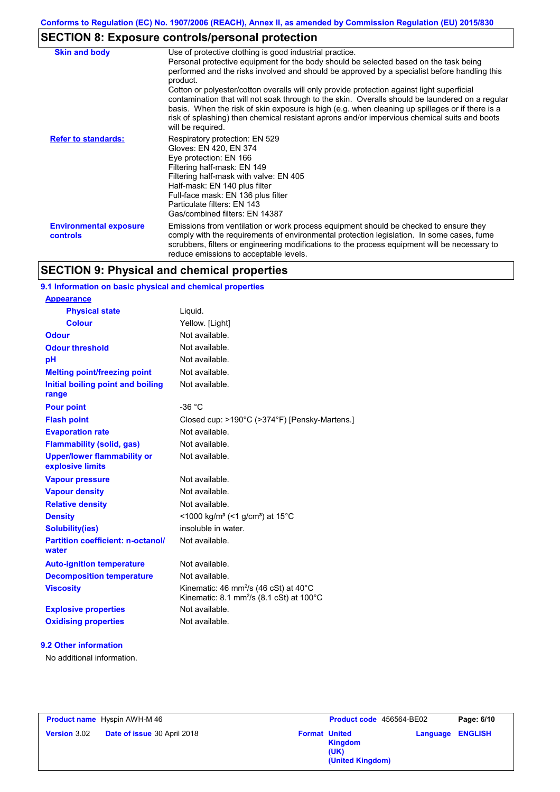# **SECTION 8: Exposure controls/personal protection**

| <b>Skin and body</b>                             | Use of protective clothing is good industrial practice.<br>Personal protective equipment for the body should be selected based on the task being<br>performed and the risks involved and should be approved by a specialist before handling this<br>product.<br>Cotton or polyester/cotton overalls will only provide protection against light superficial<br>contamination that will not soak through to the skin. Overalls should be laundered on a regular<br>basis. When the risk of skin exposure is high (e.g. when cleaning up spillages or if there is a<br>risk of splashing) then chemical resistant aprons and/or impervious chemical suits and boots<br>will be required. |
|--------------------------------------------------|---------------------------------------------------------------------------------------------------------------------------------------------------------------------------------------------------------------------------------------------------------------------------------------------------------------------------------------------------------------------------------------------------------------------------------------------------------------------------------------------------------------------------------------------------------------------------------------------------------------------------------------------------------------------------------------|
| <b>Refer to standards:</b>                       | Respiratory protection: EN 529<br>Gloves: EN 420, EN 374<br>Eye protection: EN 166<br>Filtering half-mask: EN 149<br>Filtering half-mask with valve: EN 405<br>Half-mask: EN 140 plus filter<br>Full-face mask: EN 136 plus filter<br>Particulate filters: EN 143<br>Gas/combined filters: EN 14387                                                                                                                                                                                                                                                                                                                                                                                   |
| <b>Environmental exposure</b><br><b>controls</b> | Emissions from ventilation or work process equipment should be checked to ensure they<br>comply with the requirements of environmental protection legislation. In some cases, fume<br>scrubbers, filters or engineering modifications to the process equipment will be necessary to<br>reduce emissions to acceptable levels.                                                                                                                                                                                                                                                                                                                                                         |

# **SECTION 9: Physical and chemical properties**

## **9.1 Information on basic physical and chemical properties**

| Closed cup: >190°C (>374°F) [Pensky-Martens.] |
|-----------------------------------------------|
|                                               |
|                                               |
|                                               |
|                                               |
|                                               |
|                                               |
|                                               |
|                                               |
|                                               |
|                                               |
|                                               |
|                                               |
|                                               |
|                                               |
|                                               |

## **9.2 Other information**

**Appearance**

No additional information.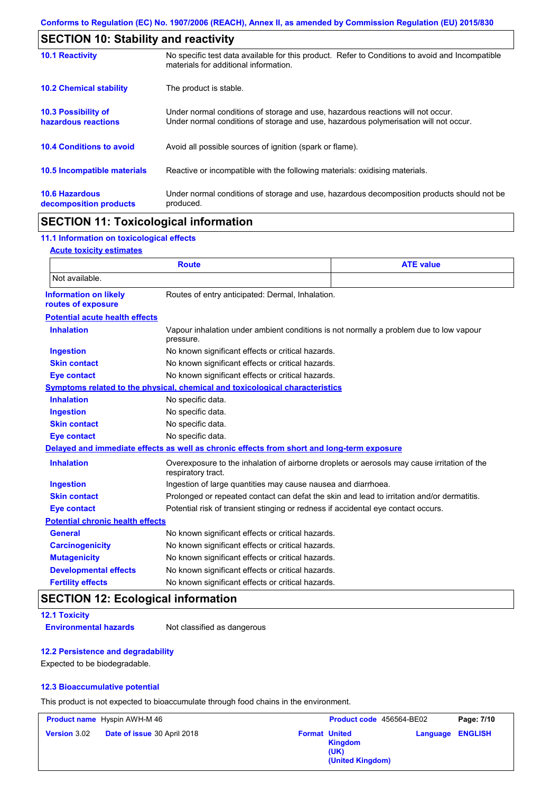| <b>SECTION 10: Stability and reactivity</b>       |                                                                                                                                                                         |  |
|---------------------------------------------------|-------------------------------------------------------------------------------------------------------------------------------------------------------------------------|--|
| <b>10.1 Reactivity</b>                            | No specific test data available for this product. Refer to Conditions to avoid and Incompatible<br>materials for additional information.                                |  |
| <b>10.2 Chemical stability</b>                    | The product is stable.                                                                                                                                                  |  |
| <b>10.3 Possibility of</b><br>hazardous reactions | Under normal conditions of storage and use, hazardous reactions will not occur.<br>Under normal conditions of storage and use, hazardous polymerisation will not occur. |  |
| <b>10.4 Conditions to avoid</b>                   | Avoid all possible sources of ignition (spark or flame).                                                                                                                |  |
| <b>10.5 Incompatible materials</b>                | Reactive or incompatible with the following materials: oxidising materials.                                                                                             |  |
| <b>10.6 Hazardous</b><br>decomposition products   | Under normal conditions of storage and use, hazardous decomposition products should not be<br>produced.                                                                 |  |

# **SECTION 11: Toxicological information**

## **11.1 Information on toxicological effects**

#### **Acute toxicity estimates**

| <b>ATE value</b><br><b>Route</b>                   |                                                                                                                   |  |  |
|----------------------------------------------------|-------------------------------------------------------------------------------------------------------------------|--|--|
| Not available.                                     |                                                                                                                   |  |  |
| <b>Information on likely</b><br>routes of exposure | Routes of entry anticipated: Dermal, Inhalation.                                                                  |  |  |
| <b>Potential acute health effects</b>              |                                                                                                                   |  |  |
| <b>Inhalation</b>                                  | Vapour inhalation under ambient conditions is not normally a problem due to low vapour<br>pressure.               |  |  |
| <b>Ingestion</b>                                   | No known significant effects or critical hazards.                                                                 |  |  |
| <b>Skin contact</b>                                | No known significant effects or critical hazards.                                                                 |  |  |
| <b>Eye contact</b>                                 | No known significant effects or critical hazards.                                                                 |  |  |
|                                                    | Symptoms related to the physical, chemical and toxicological characteristics                                      |  |  |
| <b>Inhalation</b>                                  | No specific data.                                                                                                 |  |  |
| <b>Ingestion</b>                                   | No specific data.                                                                                                 |  |  |
| <b>Skin contact</b>                                | No specific data.                                                                                                 |  |  |
| <b>Eye contact</b>                                 | No specific data.                                                                                                 |  |  |
|                                                    | Delayed and immediate effects as well as chronic effects from short and long-term exposure                        |  |  |
| <b>Inhalation</b>                                  | Overexposure to the inhalation of airborne droplets or aerosols may cause irritation of the<br>respiratory tract. |  |  |
| <b>Ingestion</b>                                   | Ingestion of large quantities may cause nausea and diarrhoea.                                                     |  |  |
| <b>Skin contact</b>                                | Prolonged or repeated contact can defat the skin and lead to irritation and/or dermatitis.                        |  |  |
| <b>Eye contact</b>                                 | Potential risk of transient stinging or redness if accidental eye contact occurs.                                 |  |  |
| <b>Potential chronic health effects</b>            |                                                                                                                   |  |  |
| <b>General</b>                                     | No known significant effects or critical hazards.                                                                 |  |  |
| <b>Carcinogenicity</b>                             | No known significant effects or critical hazards.                                                                 |  |  |
| <b>Mutagenicity</b>                                | No known significant effects or critical hazards.                                                                 |  |  |
| <b>Developmental effects</b>                       | No known significant effects or critical hazards.                                                                 |  |  |
| <b>Fertility effects</b>                           | No known significant effects or critical hazards.                                                                 |  |  |

# **SECTION 12: Ecological information**

```
12.1 Toxicity
```
**Environmental hazards** Not classified as dangerous

#### **12.2 Persistence and degradability**

Expected to be biodegradable.

### **12.3 Bioaccumulative potential**

This product is not expected to bioaccumulate through food chains in the environment.

| <b>Product name</b> Hyspin AWH-M 46 |                                    | Product code 456564-BE02 | Page: 7/10                                                         |                         |
|-------------------------------------|------------------------------------|--------------------------|--------------------------------------------------------------------|-------------------------|
| <b>Version 3.02</b>                 | <b>Date of issue 30 April 2018</b> |                          | <b>Format United</b><br><b>Kingdom</b><br>(UK)<br>(United Kingdom) | <b>Language ENGLISH</b> |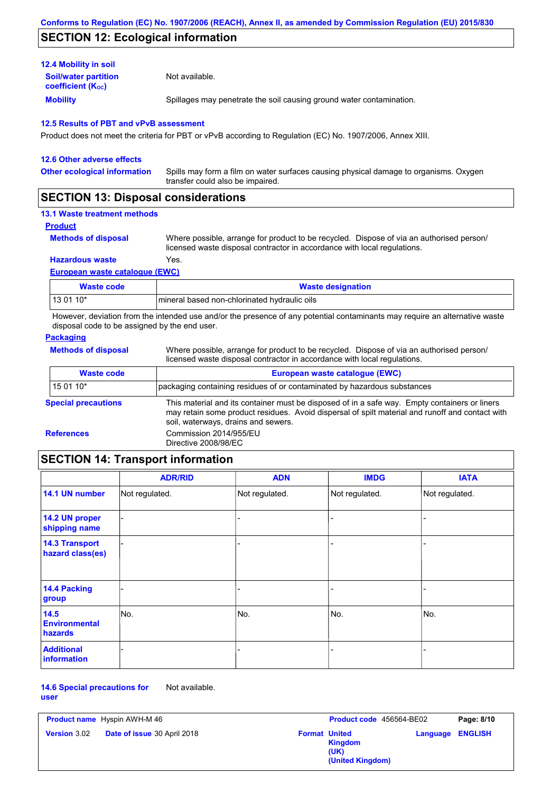# **SECTION 12: Ecological information**

## **12.4 Mobility in soil**

**Mobility** Spillages may penetrate the soil causing ground water contamination. **Soil/water partition coefficient (KOC)** Not available.

### **12.5 Results of PBT and vPvB assessment**

Product does not meet the criteria for PBT or vPvB according to Regulation (EC) No. 1907/2006, Annex XIII.

| <b>12.6 Other adverse effects</b>   |                                                                                                                           |
|-------------------------------------|---------------------------------------------------------------------------------------------------------------------------|
| <b>Other ecological information</b> | Spills may form a film on water surfaces causing physical damage to organisms. Oxygen<br>transfer could also be impaired. |
|                                     |                                                                                                                           |

# **SECTION 13: Disposal considerations**

## **13.1 Waste treatment methods**

#### **Product**

**Methods of disposal**

Where possible, arrange for product to be recycled. Dispose of via an authorised person/ licensed waste disposal contractor in accordance with local regulations.

## **Hazardous waste** Yes.

## **European waste catalogue (EWC)**

| Waste code | <b>Waste designation</b>                       |
|------------|------------------------------------------------|
| 13 01 10*  | I mineral based non-chlorinated hydraulic oils |

However, deviation from the intended use and/or the presence of any potential contaminants may require an alternative waste disposal code to be assigned by the end user.

#### **Packaging**

| <b>Methods of disposal</b> | Where possible, arrange for product to be recycled. Dispose of via an authorised person/<br>licensed waste disposal contractor in accordance with local regulations.                                                                    |
|----------------------------|-----------------------------------------------------------------------------------------------------------------------------------------------------------------------------------------------------------------------------------------|
| <b>Waste code</b>          | European waste catalogue (EWC)                                                                                                                                                                                                          |
| $150110*$                  | packaging containing residues of or contaminated by hazardous substances                                                                                                                                                                |
| <b>Special precautions</b> | This material and its container must be disposed of in a safe way. Empty containers or liners<br>may retain some product residues. Avoid dispersal of spilt material and runoff and contact with<br>soil, waterways, drains and sewers. |
| <b>References</b>          | Commission 2014/955/EU<br>Directive 2008/98/EC                                                                                                                                                                                          |

# **SECTION 14: Transport information**

|                                           | <b>ADR/RID</b> | <b>ADN</b>     | <b>IMDG</b>    | <b>IATA</b>    |
|-------------------------------------------|----------------|----------------|----------------|----------------|
| 14.1 UN number                            | Not regulated. | Not regulated. | Not regulated. | Not regulated. |
| 14.2 UN proper<br>shipping name           |                |                |                |                |
| <b>14.3 Transport</b><br>hazard class(es) |                |                | -              |                |
| 14.4 Packing<br>group                     |                |                | -              |                |
| $14.5$<br><b>Environmental</b><br>hazards | No.            | No.            | No.            | No.            |
| <b>Additional</b><br><b>information</b>   |                |                | ۰              |                |

#### **14.6 Special precautions for user** Not available.

| <b>Product name</b> Hyspin AWH-M 46                       |  | Product code 456564-BE02                                           | Page: 8/10              |
|-----------------------------------------------------------|--|--------------------------------------------------------------------|-------------------------|
| <b>Date of issue 30 April 2018</b><br><b>Version 3.02</b> |  | <b>Format United</b><br><b>Kingdom</b><br>(UK)<br>(United Kingdom) | <b>Language ENGLISH</b> |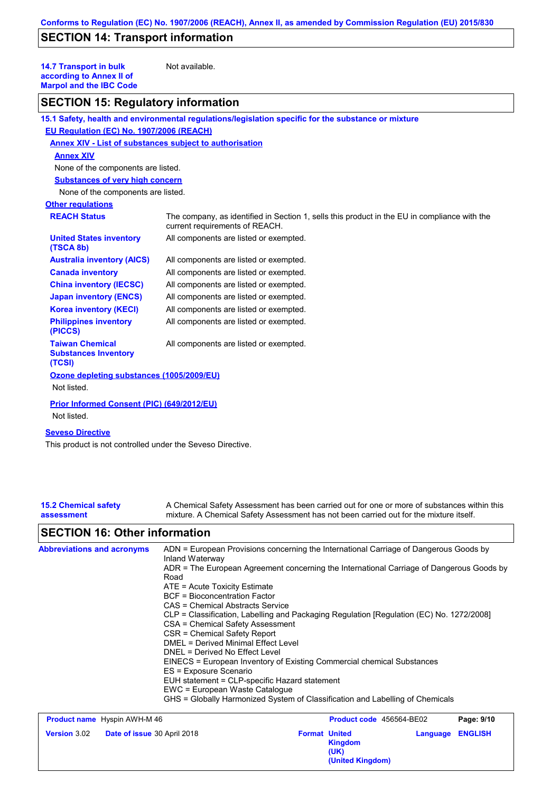# **SECTION 14: Transport information**

**14.7 Transport in bulk according to Annex II of Marpol and the IBC Code**

Not available.

## **SECTION 15: Regulatory information**

|                                                                 | 15.1 Safety, health and environmental regulations/legislation specific for the substance or mixture                            |  |  |
|-----------------------------------------------------------------|--------------------------------------------------------------------------------------------------------------------------------|--|--|
| EU Regulation (EC) No. 1907/2006 (REACH)                        |                                                                                                                                |  |  |
| Annex XIV - List of substances subject to authorisation         |                                                                                                                                |  |  |
| <b>Annex XIV</b>                                                |                                                                                                                                |  |  |
| None of the components are listed.                              |                                                                                                                                |  |  |
| <b>Substances of very high concern</b>                          |                                                                                                                                |  |  |
| None of the components are listed.                              |                                                                                                                                |  |  |
| <b>Other regulations</b>                                        |                                                                                                                                |  |  |
| <b>REACH Status</b>                                             | The company, as identified in Section 1, sells this product in the EU in compliance with the<br>current requirements of REACH. |  |  |
| <b>United States inventory</b><br>(TSCA 8b)                     | All components are listed or exempted.                                                                                         |  |  |
| <b>Australia inventory (AICS)</b>                               | All components are listed or exempted.                                                                                         |  |  |
| <b>Canada inventory</b>                                         | All components are listed or exempted.                                                                                         |  |  |
| <b>China inventory (IECSC)</b>                                  | All components are listed or exempted.                                                                                         |  |  |
| <b>Japan inventory (ENCS)</b>                                   | All components are listed or exempted.                                                                                         |  |  |
| <b>Korea inventory (KECI)</b>                                   | All components are listed or exempted.                                                                                         |  |  |
| <b>Philippines inventory</b><br>(PICCS)                         | All components are listed or exempted.                                                                                         |  |  |
| <b>Taiwan Chemical</b><br><b>Substances Inventory</b><br>(TCSI) | All components are listed or exempted.                                                                                         |  |  |
| Ozone depleting substances (1005/2009/EU)                       |                                                                                                                                |  |  |
| Not listed.                                                     |                                                                                                                                |  |  |
| Prior Informed Consent (PIC) (649/2012/EU)<br>Not listed.       |                                                                                                                                |  |  |

## **Seveso Directive**

This product is not controlled under the Seveso Directive.

| <b>15.2 Chemical safety</b> | A Chemical Safety Assessment has been carried out for one or more of substances within this |
|-----------------------------|---------------------------------------------------------------------------------------------|
| assessment                  | mixture. A Chemical Safety Assessment has not been carried out for the mixture itself.      |
|                             |                                                                                             |

# **SECTION 16: Other information**

| <b>Abbreviations and acronyms</b> | ADN = European Provisions concerning the International Carriage of Dangerous Goods by<br>Inland Waterway<br>ADR = The European Agreement concerning the International Carriage of Dangerous Goods by<br>Road<br>$ATE = Acute Toxicity Estimate$<br><b>BCF</b> = Bioconcentration Factor<br>CAS = Chemical Abstracts Service<br>CLP = Classification, Labelling and Packaging Regulation [Regulation (EC) No. 1272/2008]<br>CSA = Chemical Safety Assessment<br>CSR = Chemical Safety Report<br>DMEL = Derived Minimal Effect Level<br>DNEL = Derived No Effect Level<br>EINECS = European Inventory of Existing Commercial chemical Substances |
|-----------------------------------|------------------------------------------------------------------------------------------------------------------------------------------------------------------------------------------------------------------------------------------------------------------------------------------------------------------------------------------------------------------------------------------------------------------------------------------------------------------------------------------------------------------------------------------------------------------------------------------------------------------------------------------------|
|                                   |                                                                                                                                                                                                                                                                                                                                                                                                                                                                                                                                                                                                                                                |
|                                   | ES = Exposure Scenario                                                                                                                                                                                                                                                                                                                                                                                                                                                                                                                                                                                                                         |
|                                   | EUH statement = CLP-specific Hazard statement<br>EWC = European Waste Catalogue                                                                                                                                                                                                                                                                                                                                                                                                                                                                                                                                                                |
|                                   | GHS = Globally Harmonized System of Classification and Labelling of Chemicals                                                                                                                                                                                                                                                                                                                                                                                                                                                                                                                                                                  |

**Product name** Hyspin AWH-M 46 **Version** 3.02 **Product code** 456564-BE02 **Page: 9/10 Date of issue** 30 April 2018 **Format United Format United Kingdom (UK) Language ENGLISH (United Kingdom)**